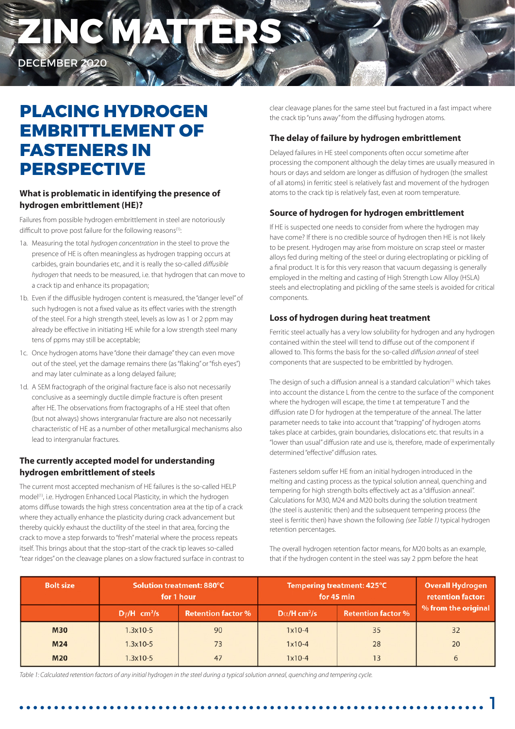# **ZINC MATTERS**

DECEMBER 2020

### **PLACING HYDROGEN EMBRITTLEMENT OF FASTENERS IN PERSPECTIVE**

#### **What is problematic in identifying the presence of hydrogen embrittlement (HE)?**

Failures from possible hydrogen embrittlement in steel are notoriously difficult to prove post failure for the following reasons<sup>(1)</sup>:

- 1a. Measuring the total *hydrogen concentration* in the steel to prove the presence of HE is often meaningless as hydrogen trapping occurs at carbides, grain boundaries etc, and it is really the so-called *diffusible hydrogen* that needs to be measured, i.e. that hydrogen that can move to a crack tip and enhance its propagation;
- 1b. Even if the diffusible hydrogen content is measured, the "danger level" of such hydrogen is not a fixed value as its effect varies with the strength of the steel. For a high strength steel, levels as low as 1 or 2 ppm may already be effective in initiating HE while for a low strength steel many tens of ppms may still be acceptable;
- 1c. Once hydrogen atoms have "done their damage" they can even move out of the steel, yet the damage remains there (as "flaking" or "fish eyes") and may later culminate as a long delayed failure;
- 1d. A SEM fractograph of the original fracture face is also not necessarily conclusive as a seemingly ductile dimple fracture is often present after HE. The observations from fractographs of a HE steel that often (but not always) shows intergranular fracture are also not necessarily characteristic of HE as a number of other metallurgical mechanisms also lead to intergranular fractures.

#### **The currently accepted model for understanding hydrogen embrittlement of steels**

The current most accepted mechanism of HE failures is the so-called HELP model(1), i.e. Hydrogen Enhanced Local Plasticity, in which the hydrogen atoms diffuse towards the high stress concentration area at the tip of a crack where they actually enhance the plasticity during crack advancement but thereby quickly exhaust the ductility of the steel in that area, forcing the crack to move a step forwards to "fresh" material where the process repeats itself. This brings about that the stop-start of the crack tip leaves so-called "tear ridges" on the cleavage planes on a slow fractured surface in contrast to clear cleavage planes for the same steel but fractured in a fast impact where the crack tip "runs away" from the diffusing hydrogen atoms.

#### **The delay of failure by hydrogen embrittlement**

Delayed failures in HE steel components often occur sometime after processing the component although the delay times are usually measured in hours or days and seldom are longer as diffusion of hydrogen (the smallest of all atoms) in ferritic steel is relatively fast and movement of the hydrogen atoms to the crack tip is relatively fast, even at room temperature.

#### **Source of hydrogen for hydrogen embrittlement**

If HE is suspected one needs to consider from where the hydrogen may have come? If there is no credible source of hydrogen then HE is not likely to be present. Hydrogen may arise from moisture on scrap steel or master alloys fed during melting of the steel or during electroplating or pickling of a final product. It is for this very reason that vacuum degassing is generally employed in the melting and casting of High Strength Low Alloy (HSLA) steels and electroplating and pickling of the same steels is avoided for critical components.

#### **Loss of hydrogen during heat treatment**

Ferritic steel actually has a very low solubility for hydrogen and any hydrogen contained within the steel will tend to diffuse out of the component if allowed to. This forms the basis for the so-called *diffusion anneal* of steel components that are suspected to be embrittled by hydrogen.

The design of such a diffusion anneal is a standard calculation<sup>(1)</sup> which takes into account the distance L from the centre to the surface of the component where the hydrogen will escape, the time t at temperature T and the diffusion rate D for hydrogen at the temperature of the anneal. The latter parameter needs to take into account that "trapping" of hydrogen atoms takes place at carbides, grain boundaries, dislocations etc. that results in a "lower than usual" diffusion rate and use is, therefore, made of experimentally determined "effective" diffusion rates.

Fasteners seldom suffer HE from an initial hydrogen introduced in the melting and casting process as the typical solution anneal, quenching and tempering for high strength bolts effectively act as a "diffusion anneal". Calculations for M30, M24 and M20 bolts during the solution treatment (the steel is austenitic then) and the subsequent tempering process (the steel is ferritic then) have shown the following *(see Table 1)* typical hydrogen retention percentages.

The overall hydrogen retention factor means, for M20 bolts as an example, that if the hydrogen content in the steel was say 2 ppm before the heat

| <b>Bolt size</b> | Solution treatment: 880°C<br>for 1 hour |                           | Tempering treatment: 425°C<br>for 45 min |                           | <b>Overall Hydrogen</b><br>retention factor: |
|------------------|-----------------------------------------|---------------------------|------------------------------------------|---------------------------|----------------------------------------------|
|                  | $D\gamma/H$ cm <sup>2</sup> /s          | <b>Retention factor %</b> | $D\alpha/H$ cm <sup>2</sup> /s           | <b>Retention factor %</b> | % from the original                          |
| <b>M30</b>       | $1.3x10-5$                              | 90                        | $1x10-4$                                 | 35                        | 32                                           |
| M <sub>24</sub>  | $1.3x10-5$                              | 73                        | $1x10-4$                                 | 28                        | 20                                           |
| <b>M20</b>       | $1.3x10-5$                              | 47                        | $1x10-4$                                 | 13                        | 6                                            |

*Table 1: Calculated retention factors of any initial hydrogen in the steel during a typical solution anneal, quenching and tempering cycle.*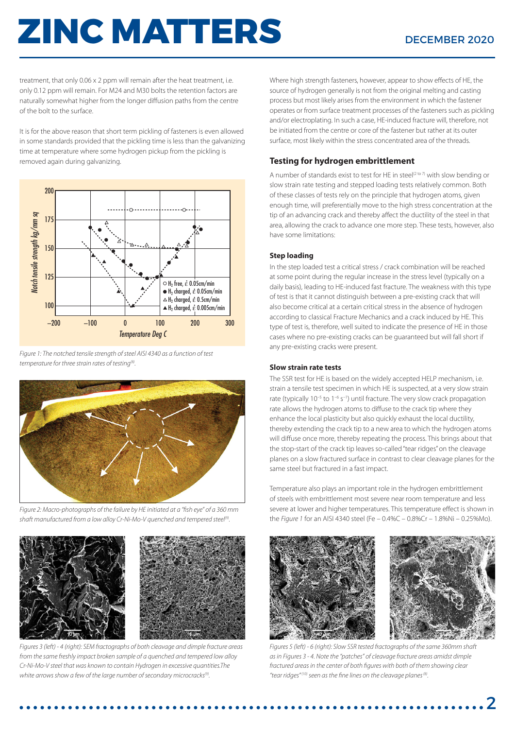## **ZINC MATTERS** DECEMBER 2020

treatment, that only 0.06 x 2 ppm will remain after the heat treatment, i.e. only 0.12 ppm will remain. For M24 and M30 bolts the retention factors are naturally somewhat higher from the longer diffusion paths from the centre of the bolt to the surface.

It is for the above reason that short term pickling of fasteners is even allowed in some standards provided that the pickling time is less than the galvanizing time at temperature where some hydrogen pickup from the pickling is removed again during galvanizing.



*Figure 1: The notched tensile strength of steel AISI 4340 as a function of test temperature for three strain rates of testing(8).*



*Figure 2: Macro-photographs of the failure by HE initiated at a "fish eye" of a 360 mm shaft manufactured from a low alloy Cr-Ni-Mo-V quenched and tempered steel(9).*



*Figures 3 (left) - 4 (right): SEM fractographs of both cleavage and dimple fracture areas from the same freshly impact broken sample of a quenched and tempered low alloy Cr-Ni-Mo-V steel that was known to contain Hydrogen in excessive quantities.The white arrows show a few of the large number of secondary microcracks(9).*

Where high strength fasteners, however, appear to show effects of HE, the source of hydrogen generally is not from the original melting and casting process but most likely arises from the environment in which the fastener operates or from surface treatment processes of the fasteners such as pickling and/or electroplating. In such a case, HE-induced fracture will, therefore, not be initiated from the centre or core of the fastener but rather at its outer surface, most likely within the stress concentrated area of the threads.

#### **Testing for hydrogen embrittlement**

A number of standards exist to test for HE in steel<sup>(2 to 7)</sup> with slow bending or slow strain rate testing and stepped loading tests relatively common. Both of these classes of tests rely on the principle that hydrogen atoms, given enough time, will preferentially move to the high stress concentration at the tip of an advancing crack and thereby affect the ductility of the steel in that area, allowing the crack to advance one more step. These tests, however, also have some limitations:

#### **Step loading**

In the step loaded test a critical stress / crack combination will be reached at some point during the regular increase in the stress level (typically on a daily basis), leading to HE-induced fast fracture. The weakness with this type of test is that it cannot distinguish between a pre-existing crack that will also become critical at a certain critical stress in the absence of hydrogen according to classical Fracture Mechanics and a crack induced by HE. This type of test is, therefore, well suited to indicate the presence of HE in those cases where no pre-existing cracks can be guaranteed but will fall short if any pre-existing cracks were present.

#### **Slow strain rate tests**

The SSR test for HE is based on the widely accepted HELP mechanism, i.e. strain a tensile test specimen in which HE is suspected, at a very slow strain rate (typically  $10^{-5}$  to  $1^{-6}$  s<sup>-1</sup>) until fracture. The very slow crack propagation rate allows the hydrogen atoms to diffuse to the crack tip where they enhance the local plasticity but also quickly exhaust the local ductility, thereby extending the crack tip to a new area to which the hydrogen atoms will diffuse once more, thereby repeating the process. This brings about that the stop-start of the crack tip leaves so-called "tear ridges" on the cleavage planes on a slow fractured surface in contrast to clear cleavage planes for the same steel but fractured in a fast impact.

Temperature also plays an important role in the hydrogen embrittlement of steels with embrittlement most severe near room temperature and less severe at lower and higher temperatures. This temperature effect is shown in the *Figure 1* for an AISI 4340 steel (Fe – 0.4%C – 0.8%Cr – 1.8%Ni – 0.25%Mo).



*Figures 5 (left) - 6 (right): Slow SSR tested fractographs of the same 360mm shaft as in Figures 3 - 4. Note the "patches" of cleavage fracture areas amidst dimple fractured areas in the center of both figures with both of them showing clear "tear ridges" (10) seen as the fine lines on the cleavage planes (8).*

2